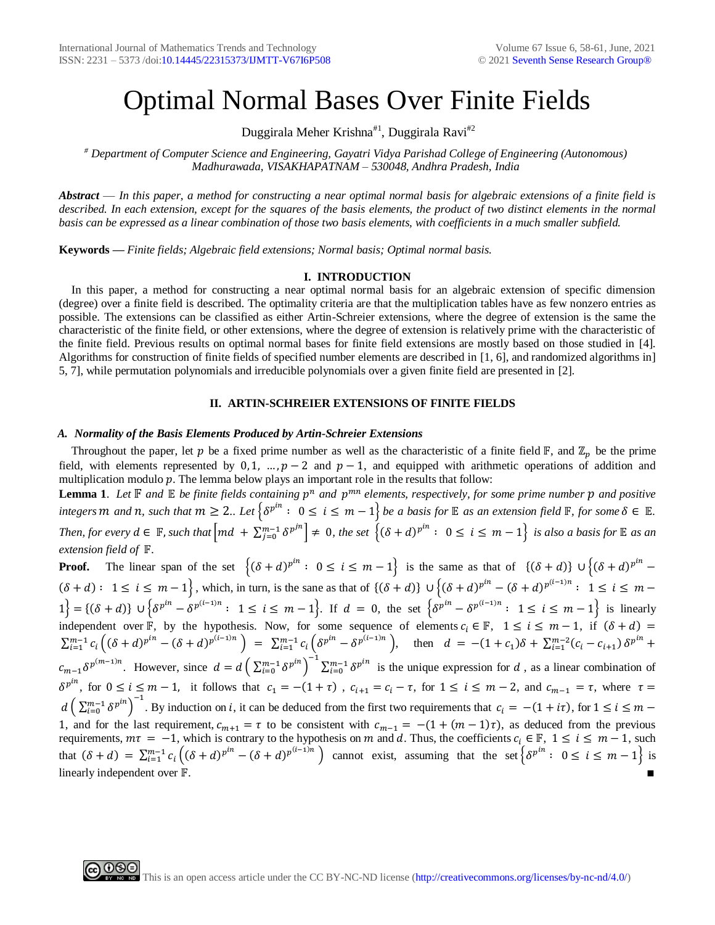# Optimal Normal Bases Over Finite Fields

Duggirala Meher Krishna<sup>#1</sup>, Duggirala Ravi<sup>#2</sup>

*# Department of Computer Science and Engineering, Gayatri Vidya Parishad College of Engineering (Autonomous) Madhurawada, VISAKHAPATNAM – 530048, Andhra Pradesh, India*

*Abstract* — *In this paper, a method for constructing a near optimal normal basis for algebraic extensions of a finite field is described. In each extension, except for the squares of the basis elements, the product of two distinct elements in the normal basis can be expressed as a linear combination of those two basis elements, with coefficients in a much smaller subfield.* 

**Keywords** *— Finite fields; Algebraic field extensions; Normal basis; Optimal normal basis.*

# **I. INTRODUCTION**

In this paper, a method for constructing a near optimal normal basis for an algebraic extension of specific dimension (degree) over a finite field is described. The optimality criteria are that the multiplication tables have as few nonzero entries as possible. The extensions can be classified as either Artin-Schreier extensions, where the degree of extension is the same the characteristic of the finite field, or other extensions, where the degree of extension is relatively prime with the characteristic of the finite field. Previous results on optimal normal bases for finite field extensions are mostly based on those studied in [4]. Algorithms for construction of finite fields of specified number elements are described in [1, 6], and randomized algorithms in] 5, 7], while permutation polynomials and irreducible polynomials over a given finite field are presented in [2].

#### **II. ARTIN-SCHREIER EXTENSIONS OF FINITE FIELDS**

#### *A. Normality of the Basis Elements Produced by Artin-Schreier Extensions*

Throughout the paper, let p be a fixed prime number as well as the characteristic of a finite field  $\mathbb{F}$ , and  $\mathbb{Z}_p$  be the prime field, with elements represented by 0, 1, …,  $p-2$  and  $p-1$ , and equipped with arithmetic operations of addition and multiplication modulo  $p$ . The lemma below plays an important role in the results that follow:

**Lemma 1.** Let  $\mathbb F$  and  $\mathbb E$  be finite fields containing  $p^n$  and  $p^{mn}$  elements, respectively, for some prime number  $p$  and positive  $\{a \in \mathbb{R}^n : a \in \mathbb{R}^n : a \in \mathbb{R}^n : a \in \mathbb{R}^n : a \in \mathbb{R}^n : a \in \mathbb{R}^n : a \in \mathbb{R}^n : a \in \mathbb{R}^n : a \in \mathbb{R}^n : a \in \mathbb{R}^n : a \in \mathbb{R}^n : a \in \mathbb{R}^n : a \in \mathbb{R}^n : a \in \mathbb{R}^n : a \in \mathbb{R}^n : a \in \mathbb{R}^n : a \in \mathbb{R}^n : a \in \mathbb{R}^n : a \$ *Then, for every*  $d \in \mathbb{F}$ , such that  $\left[ md + \sum_{j=0}^{m-1} \delta^{p^{jn}} \right] \neq 0$ , the set  $\left\{ (\delta + d)^{p^{in}} : 0 \leq i \leq m-1 \right\}$  is also a basis for  $\mathbb E$  as an *extension field of .*

**Proof.** The linear span of the set  $\{( \delta + d)^{p^{in}} : 0 \le i \le m-1 \}$  is the same as that of  $\{(\delta + d)\} \cup \{(\delta + d)^{p^{in}} (\delta + d) : 1 \le i \le m - 1$ , which, in turn, is the sane as that of  $\{(\delta + d)\} \cup \{(\delta + d)^{p^{in}} - (\delta + d)^{p^{(i-1)n}} : 1 \le i \le m - 1\}$  $1 = \{(\delta + d)\}\cup \{\delta^{p^{in}} - \delta^{p^{(i-1)n}}: 1 \le i \le m-1\}$ . If  $d = 0$ , the set  $\{\delta^{p^{in}} - \delta^{p^{(i-1)n}}: 1 \le i \le m-1\}$  is linearly independent over  $\mathbb{F}$ , by the hypothesis. Now, for some sequence of elements  $c_i \in \mathbb{F}$ ,  $1 \le i \le m-1$ , if  $(\delta + d)$  $\sum_{i=1}^{m-1} c_i \left( (\delta+d)^{p^{in}} - (\delta+d)^{p^{(i-1)n}} \right) = \sum_{i=1}^{m-1} c_i \left( \delta^{p^{in}} - \delta^{p^{(i-1)n}} \right)$ , then  $d = -(1+c_1)\delta + \sum_{i=1}^{m-2} (c_i - c_{i+1}) \delta^{p^{in}} +$  $c_{m-1}\delta^{p^{(m-1)n}}$ . However, since  $d=d\left(\sum_{i=0}^{m-1}\delta^{p^{in}}\right)^{-1}\sum_{i=0}^{m-1}\delta^{p^{in}}$  is the unique expression for d, as a linear combination of  $\delta^{p^{in}}$ , for  $0 \le i \le m-1$ , it follows that  $c_1 = -(1 + \tau)$ ,  $c_{i+1} = c_i - \tau$ , for  $1 \le i \le m-2$ , and  $c_{m-1} = \tau$ , where  $\tau =$  $d\left(\sum_{i=0}^{m-1} \delta^{p^{in}}\right)^{-1}$ . By induction on i, it can be deduced from the first two requirements that  $c_i = -(1 + i\tau)$ , for  $1 \le i \le m -$ 1, and for the last requirement,  $c_{m+1} = \tau$  to be consistent with  $c_{m-1} = -(1 + (m-1)\tau)$ , as deduced from the previous requirements,  $m\tau = -1$ , which is contrary to the hypothesis on m and d. Thus, the coefficients  $c_i \in \mathbb{F}$ ,  $1 \le i \le m-1$ , such that  $(\delta + d) = \sum_{i=1}^{m-1} c_i ((\delta + d)^{p^{i}} - (\delta + d)^{p^{(i-1)n}})$  cannot exist, assuming that the set  $\{\delta^{p^{i}} : 0 \le i \le m-1\}$  is linearly independent over  $\mathbb{F}$ .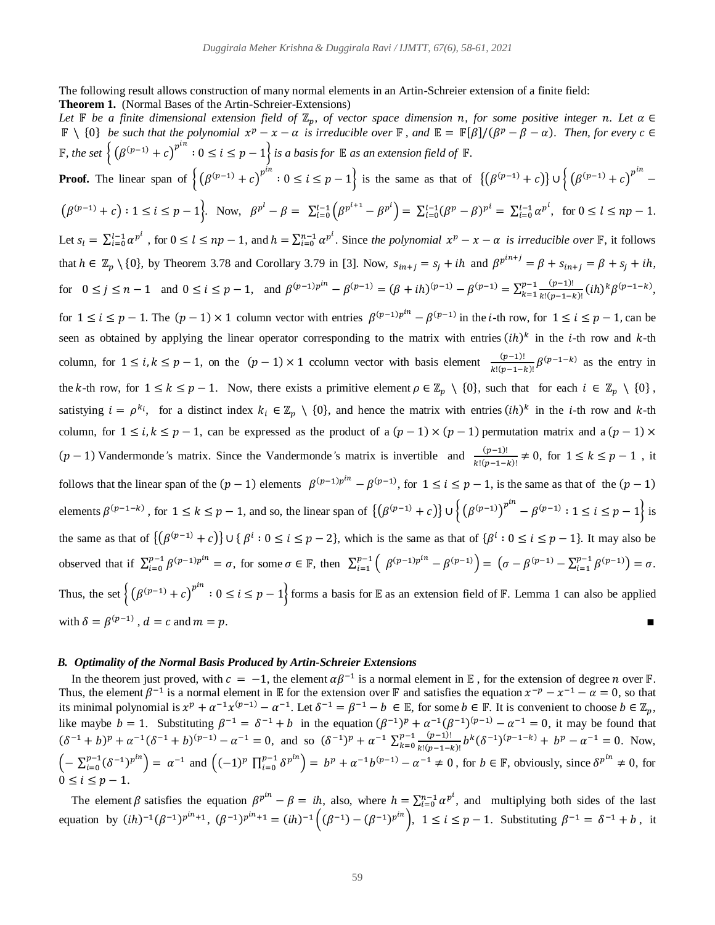The following result allows construction of many normal elements in an Artin-Schreier extension of a finite field: **Theorem 1.** (Normal Bases of the Artin-Schreier-Extensions)

*Let*  $\mathbb F$  *be a finite dimensional extension field of*  $\mathbb Z_p$ , *of vector space dimension n, for some positive integer n. Let*  $\alpha \in$  $\mathbb{F} \setminus \{0\}$  *be* such that the polynomial  $x^p - x - \alpha$  is irreducible over  $\mathbb{F}$ , and  $\mathbb{E} = \mathbb{F}[\beta]/(\beta^p - \beta - \alpha)$ . Then, for every  $c \in \mathbb{F}[\beta]$ **F**, the set  $\left\{ \left( \beta^{(p-1)} + c \right)^{p^{in}} : 0 \le i \le p-1 \right\}$  is a basis for **E** as an extension field of **F**. **Proof.** The linear span of  $\left\{ (\beta^{(p-1)} + c)^{p^{in}} : 0 \le i \le p-1 \right\}$  is the same as that of  $\left\{ (\beta^{(p-1)} + c) \right\} \cup \left\{ (\beta^{(p-1)} + c)^{p^{in}} - 1 \right\}$  $(\beta^{(p-1)} + c) : 1 \le i \le p-1$ . Now,  $\beta^{p^l} - \beta = \sum_{i=0}^{l-1} (\beta^{p^{i+1}} - \beta^{p^i}) = \sum_{i=0}^{l-1} (\beta^p - \beta)^{p^i} = \sum_{i=0}^{l-1} \alpha^{p^i}$ , for  $0 \le l \le np-1$ . Let  $s_l = \sum_{i=0}^{l-1} \alpha^{p^i}$ , for  $0 \le l \le np-1$ , and  $h = \sum_{i=0}^{n-1} \alpha^{p^i}$ . Since the polynomial  $x^p - x - \alpha$  is irreducible over **F**, it follows that  $h \in \mathbb{Z}_p \setminus \{0\}$ , by Theorem 3.78 and Corollary 3.79 in [3]. Now,  $s_{in+j} = s_j + ih$  and  $\beta^{p^{in+j}} = \beta + s_{in+j} = \beta + s_j + ih$ , for  $0 \le j \le n-1$  and  $0 \le i \le p-1$ , and  $\beta^{(p-1)p^{in}} - \beta^{(p-1)} = (\beta + ih)^{(p-1)} - \beta^{(p-1)} = \sum_{k=1}^{p-1} \frac{(p-1)!}{k! (p-1)!}$  $_{k=1}^{p-1} \frac{(p-1)!}{k!(p-1-k)!} (ih)^k \beta^{(p-1-k)},$ for  $1 \le i \le p-1$ . The  $(p-1) \times 1$  column vector with entries  $\beta^{(p-1)p^{in}} - \beta^{(p-1)}$  in the *i*-th row, for  $1 \le i \le p-1$ , can be seen as obtained by applying the linear operator corresponding to the matrix with entries  $(ih)^k$  in the *i*-th row and *k*-th column, for  $1 \le i, k \le p-1$ , on the  $(p-1) \times 1$  ccolumn vector with basis element  $\frac{(p-1)!}{k!(p-1-k)!} \beta^{(p-1-k)}$  as the entry in the k-th row, for  $1 \le k \le p-1$ . Now, there exists a primitive element  $\rho \in \mathbb{Z}_p \setminus \{0\}$ , such that for each  $i \in \mathbb{Z}_p \setminus \{0\}$ , satistying  $i = \rho^{k_i}$ , for a distinct index  $k_i \in \mathbb{Z}_p \setminus \{0\}$ , and hence the matrix with entries  $(ih)^k$  in the *i*-th row and *k*-th column, for  $1 \le i, k \le p - 1$ , can be expressed as the product of a  $(p - 1) \times (p - 1)$  permutation matrix and a  $(p - 1) \times$ ( $p-1$ ) Vandermonde's matrix. Since the Vandermonde's matrix is invertible and  $\frac{(p-1)!}{k!(p-1-k)!}$  ≠ 0, for  $1 \le k \le p-1$ , it follows that the linear span of the  $(p-1)$  elements  $\beta^{(p-1)p^{in}} - \beta^{(p-1)}$ , for  $1 \le i \le p-1$ , is the same as that of the  $(p-1)$ elements  $\beta^{(p-1-k)}$ , for  $1 \le k \le p-1$ , and so, the linear span of  $\{(\beta^{(p-1)} + c)\} \cup \{(\beta^{(p-1)})^{p^{in}} - \beta^{(p-1)} : 1 \le i \le p-1\}$  is the same as that of  $\{(\beta^{(p-1)}+c)\}\cup\{\beta^i: 0\leq i\leq p-2\}$ , which is the same as that of  $\{\beta^i: 0\leq i\leq p-1\}$ . It may also be observed that if  $\sum_{i=0}^{p-1} \beta^{(p-1)p^{in}} = \sigma$ , for some  $\sigma \in \mathbb{F}$ , then  $\sum_{i=1}^{p-1} \binom{\beta^{(p-1)p^{in}} - \beta^{(p-1)}}{=} \left( \sigma - \beta^{(p-1)} - \sum_{i=1}^{p-1} \beta^{(p-1)} \right) = \sigma$ . Thus, the set  $\left\{ (\beta^{(p-1)} + c)^{p^{in}} : 0 \le i \le p-1 \right\}$  forms a basis for E as an extension field of F. Lemma 1 can also be applied with  $\delta = \beta^{(p-1)}$ ,  $d = c$  and  $m = p$ .

# *B. Optimality of the Normal Basis Produced by Artin-Schreier Extensions*

In the theorem just proved, with  $c = -1$ , the element  $\alpha \beta^{-1}$  is a normal element in  $\mathbb E$ , for the extension of degree *n* over  $\mathbb F$ . Thus, the element  $\beta^{-1}$  is a normal element in E for the extension over F and satisfies the equation  $x^{-p} - x^{-1} - \alpha = 0$ , so that its minimal polynomial is  $x^p + a^{-1}x^{(p-1)} - a^{-1}$ . Let  $\delta^{-1} = \beta^{-1} - b \in \mathbb{E}$ , for some  $b \in \mathbb{F}$ . It is convenient to choose  $b \in \mathbb{Z}_p$ , like maybe  $b = 1$ . Substituting  $\beta^{-1} = \delta^{-1} + b$  in the equation  $(\beta^{-1})^p + \alpha^{-1}(\beta^{-1})^{(p-1)} - \alpha^{-1} = 0$ , it may be found that  $(\delta^{-1} + b)^p + \alpha^{-1}(\delta^{-1} + b)^{(p-1)} - \alpha^{-1} = 0$ , and so  $(\delta^{-1})^p + \alpha^{-1} \sum_{k=0}^{p-1} \frac{(p-1)!}{k! (p-1)!}$  $_{k=0}^{p-1} \frac{(p-1)!}{k!(p-1-k)!} b^k (\delta^{-1})^{(p-1-k)} + b^p - \alpha^{-1} = 0.$  Now,  $\left(-\sum_{i=0}^{p-1} (\delta^{-1})^{p^{i n}}\right) = \alpha^{-1}$  and  $\left((-1)^p \prod_{i=0}^{p-1} \delta^{p^{i n}}\right) = b^p + \alpha^{-1} b^{(p-1)} - \alpha^{-1} \neq 0$ , for  $b \in \mathbb{F}$ , obviously, since  $\delta^{p^{i n}} \neq 0$ , for  $0 \leq i \leq p-1$ .

The element  $\beta$  satisfies the equation  $\beta^{p^{in}} - \beta = ih$ , also, where  $h = \sum_{i=0}^{n-1} \alpha^{p^i}$ , and multiplying both sides of the last equation by  $(ih)^{-1}(\beta^{-1})^{p^{in}+1}$ ,  $(\beta^{-1})^{p^{in}+1} = (ih)^{-1}((\beta^{-1})-(\beta^{-1})^{p^{in}})$ ,  $1 \le i \le p-1$ . Substituting  $\beta^{-1} = \delta^{-1} + b$ , it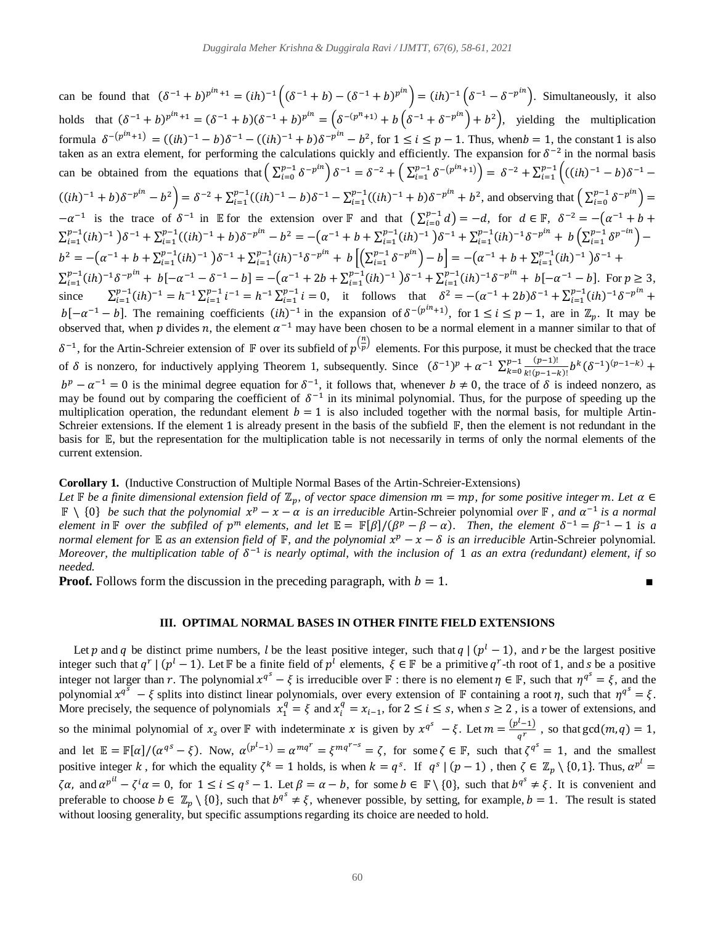can be found that  $(\delta^{-1} + b)^{p^{in}+1} = (ih)^{-1} ((\delta^{-1} + b) - (\delta^{-1} + b)^{p^{in}}) = (ih)^{-1} (\delta^{-1} - \delta^{-p^{in}})$ . Simultaneously, it also holds that  $(\delta^{-1} + b)^{p^{in}+1} = (\delta^{-1} + b)(\delta^{-1} + b)^{p^{in}} = (\delta^{-(p^{n}+1)} + b(\delta^{-1} + \delta^{-p^{in}}) + b^{2})$ , yielding the multiplication formula  $\delta^{-(p^{in}+1)} = ((ih)^{-1} - b)\delta^{-1} - ((ih)^{-1} + b)\delta^{-p^{in}} - b^2$ , for  $1 \le i \le p - 1$ . Thus, when  $b = 1$ , the constant 1 is also taken as an extra element, for performing the calculations quickly and efficiently. The expansion for  $\delta^{-2}$  in the normal basis can be obtained from the equations that  $\left( \sum_{i=0}^{p-1} \delta^{-p^{i n}} \right) \delta^{-1} = \delta^{-2} + \left( \sum_{i=1}^{p-1} \delta^{-(p^{i n}+1)} \right) = \delta^{-2} + \sum_{i=1}^{p-1} \left( ((i h)^{-1} - b) \delta^{-1} - (b h)^{-1} \right)$  $i=1$  $((ih)^{-1} + b)\delta^{-p^{in}} - b^2 = \delta^{-2} + \sum_{i=1}^{p-1} ((ih)^{-1} - b)\delta^{-1} - \sum_{i=1}^{p-1} ((ih)^{-1} + b)\delta^{-p^{in}} + b^2$ , and observing that  $\left(\sum_{i=0}^{p-1} \delta^{-p^{in}}\right) =$  $-\alpha^{-1}$  is the trace of  $\delta^{-1}$  in E for the extension over F and that  $\left(\sum_{i=0}^{p-1} d_i\right)$  $j_{i=0}^{p-1} d$  = -d, for  $d \in \mathbb{F}$ ,  $\delta^{-2} = -(\alpha^{-1} + b + \alpha)$  $\sum_{i=1}^{p-1} (ih)^{-1} \left[ \delta^{-1} + \sum_{i=1}^{p-1} ((ih)^{-1} + b) \delta^{-p^{in}} - b^2 \right] = -(\alpha^{-1} + b + \sum_{i=1}^{p-1} (ih)^{-1}) \delta^{-1} + \sum_{i=1}^{p-1} (ih)^{-1} \delta^{-p^{in}} + b \left( \sum_{i=1}^{p-1} \delta^{p^{-in}} \right)$  $b^2 = -(\alpha^{-1} + b + \sum_{i=1}^{p-1} (ih)^{-1}) \delta^{-1} + \sum_{i=1}^{p-1} (ih)^{-1} \delta^{-p^{in}} + b \left[ \left( \sum_{i=1}^{p-1} \delta^{-p^{in}} \right) - b \right] = -(\alpha^{-1} + b + \sum_{i=1}^{p-1} (ih)^{-1}) \delta^{-1} + b$  $\sum_{i=1}^{p-1} (ih)^{-1} \delta^{-p^{in}} + b[-\alpha^{-1} - \delta^{-1} - b] = -(\alpha^{-1} + 2b + \sum_{i=1}^{p-1} (ih)^{-1}) \delta^{-1} + \sum_{i=1}^{p-1} (ih)^{-1} \delta^{-p^{in}} + b[-\alpha^{-1} - b]$ . For  $p \ge 3$ , since  $\sum_{i=1}^{p-1} (ih)^{-1} = h^{-1} \sum_{i=1}^{p-1} i^{-1} = h^{-1} \sum_{i=1}^{p-1} i$  $i=1$  $e^{p-1} i^{-1} = h^{-1} \sum_{i=1}^{p-1} i = 0$ , it follows that  $\delta^2 = -(\alpha^{-1} + 2b)\delta^{-1} + \sum_{i=1}^{p-1} (ih)^{-1} \delta^{-p^{in}} +$  $b[-\alpha^{-1}-b]$ . The remaining coefficients  $(ih)^{-1}$  in the expansion of  $\delta^{-(p^{in}+1)}$ , for  $1 \le i \le p-1$ , are in  $\mathbb{Z}_p$ . It may be observed that, when p divides n, the element  $\alpha^{-1}$  may have been chosen to be a normal element in a manner similar to that of  $\delta^{-1}$ , for the Artin-Schreier extension of F over its subfield of  $p^{(\frac{n}{p})}$  elements. For this purpose, it must be checked that the trace of  $\delta$  is nonzero, for inductively applying Theorem 1, subsequently. Since  $(\delta^{-1})^p + \alpha^{-1} \sum_{k=0}^{p-1} \frac{(p-1)!}{k! (p-1)!}$  $_{k=0}^{p-1} \frac{(p-1)!}{k!(p-1-k)!} b^k (\delta^{-1})^{(p-1-k)} +$  $b^p - a^{-1} = 0$  is the minimal degree equation for  $\delta^{-1}$ , it follows that, whenever  $b \neq 0$ , the trace of  $\delta$  is indeed nonzero, as may be found out by comparing the coefficient of  $\delta^{-1}$  in its minimal polynomial. Thus, for the purpose of speeding up the multiplication operation, the redundant element  $b = 1$  is also included together with the normal basis, for multiple Artin-Schreier extensions. If the element 1 is already present in the basis of the subfield  $\mathbb{F}$ , then the element is not redundant in the basis for  $\mathbb E$ , but the representation for the multiplication table is not necessarily in terms of only the normal elements of the current extension.

## **Corollary 1.** (Inductive Construction of Multiple Normal Bases of the Artin-Schreier-Extensions)

*Let*  $\mathbb F$  *be a finite dimensional extension field of*  $\mathbb Z_p$ , *of vector space dimension nn* = *mp*, *for some positive integer m. Let*  $\alpha \in$  $\mathbb{F} \setminus \{0\}$  *be such that the polynomial*  $x^p - x - \alpha$  *is an irreducible* Artin-Schreier polynomial *over*  $\mathbb{F}$ *, and*  $\alpha^{-1}$  *is a normal element in*  $\mathbb F$  *over the subfiled of*  $p^m$  *elements, and let*  $\mathbb E = \mathbb F[\beta]/(\beta^p - \beta - \alpha)$ *. Then, the element*  $\delta^{-1} = \beta^{-1} - 1$  *is a normal element for*  $\mathbb E$  *as an extension field of*  $\mathbb F$ *, and the polynomial*  $x^p - x - \delta$  *is an irreducible* Artin-Schreier polynomial. *Moreover, the multiplication table of*  $\delta^{-1}$  *is nearly optimal, with the inclusion of* 1 *as an extra (redundant) element, if so needed.*

**Proof.** Follows form the discussion in the preceding paragraph, with  $b = 1$ .

**III. OPTIMAL NORMAL BASES IN OTHER FINITE FIELD EXTENSIONS**

Let p and q be distinct prime numbers, l be the least positive integer, such that  $q \mid (p^l - 1)$ , and r be the largest positive integer such that  $q^r | (p^l - 1)$ . Let F be a finite field of  $p^l$  elements,  $\xi \in \mathbb{F}$  be a primitive  $q^r$ -th root of 1, and s be a positive integer not larger than r. The polynomial  $x^{q^s} - \xi$  is irreducible over  $\mathbb F$  : there is no element  $\eta \in \mathbb F$ , such that  $\eta^{q^s} = \xi$ , and the polynomial  $x^{q^s} - \xi$  splits into distinct linear polynomials, over every extension of  $\mathbb F$  containing a root  $\eta$ , such that  $\eta^{q^s} = \xi$ . More precisely, the sequence of polynomials  $x_1^q = \xi$  and  $x_i^q = x_{i-1}$ , for  $2 \le i \le s$ , when  $s \ge 2$ , is a tower of extensions, and so the minimal polynomial of  $x_s$  over **F** with indeterminate x is given by  $x^{q^s} - \xi$ . Let  $m = \frac{(p^l - 1)}{q^r}$  $\frac{(-1)}{q^r}$ , so that gcd $(m, q) = 1$ , and let  $\mathbb{E} = \mathbb{F}[\alpha]/(\alpha^{q_s} - \xi)$ . Now,  $\alpha^{(p^l-1)} = \alpha^{mq^r} = \xi^{mq^{r-s}} = \zeta$ , for some  $\zeta \in \mathbb{F}$ , such that  $\zeta^{q^s} = 1$ , and the smallest positive integer k, for which the equality  $\zeta^k = 1$  holds, is when  $k = q^s$ . If  $q^s \mid (p-1)$ , then  $\zeta \in \mathbb{Z}_p \setminus \{0, 1\}$ . Thus,  $\alpha^{p^l} =$  $\zeta \alpha$ , and  $\alpha^{p^{i l}} - \zeta^i \alpha = 0$ , for  $1 \le i \le q^s - 1$ . Let  $\beta = \alpha - b$ , for some  $b \in \mathbb{F} \setminus \{0\}$ , such that  $b^{q^s} \ne \xi$ . It is convenient and preferable to choose  $b \in \mathbb{Z}_p \setminus \{0\}$ , such that  $b^{q^s} \neq \xi$ , whenever possible, by setting, for example,  $b = 1$ . The result is stated without loosing generality, but specific assumptions regarding its choice are needed to hold.